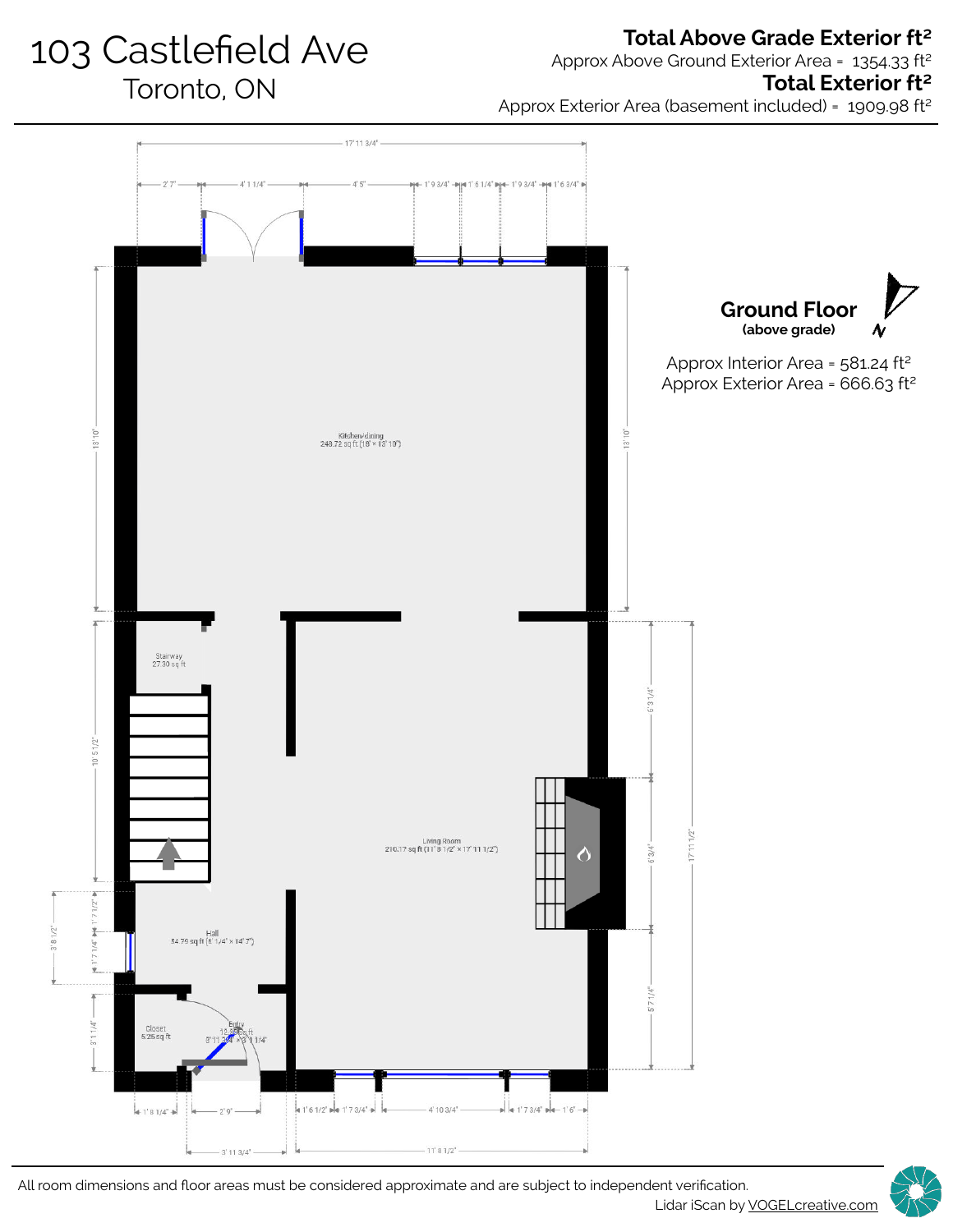103 Castlefield Ave Toronto, ON

# **Total Above Grade Exterior ft²**

Approx Above Ground Exterior Area = 1354.33 ft<sup>2</sup>

### **Total Exterior ft²**

Approx Exterior Area (basement included) = 1909.98 ft²



Lidar iScan by **VOGELcreative.com** All room dimensions and floor areas must be considered approximate and are subject to independent verification.

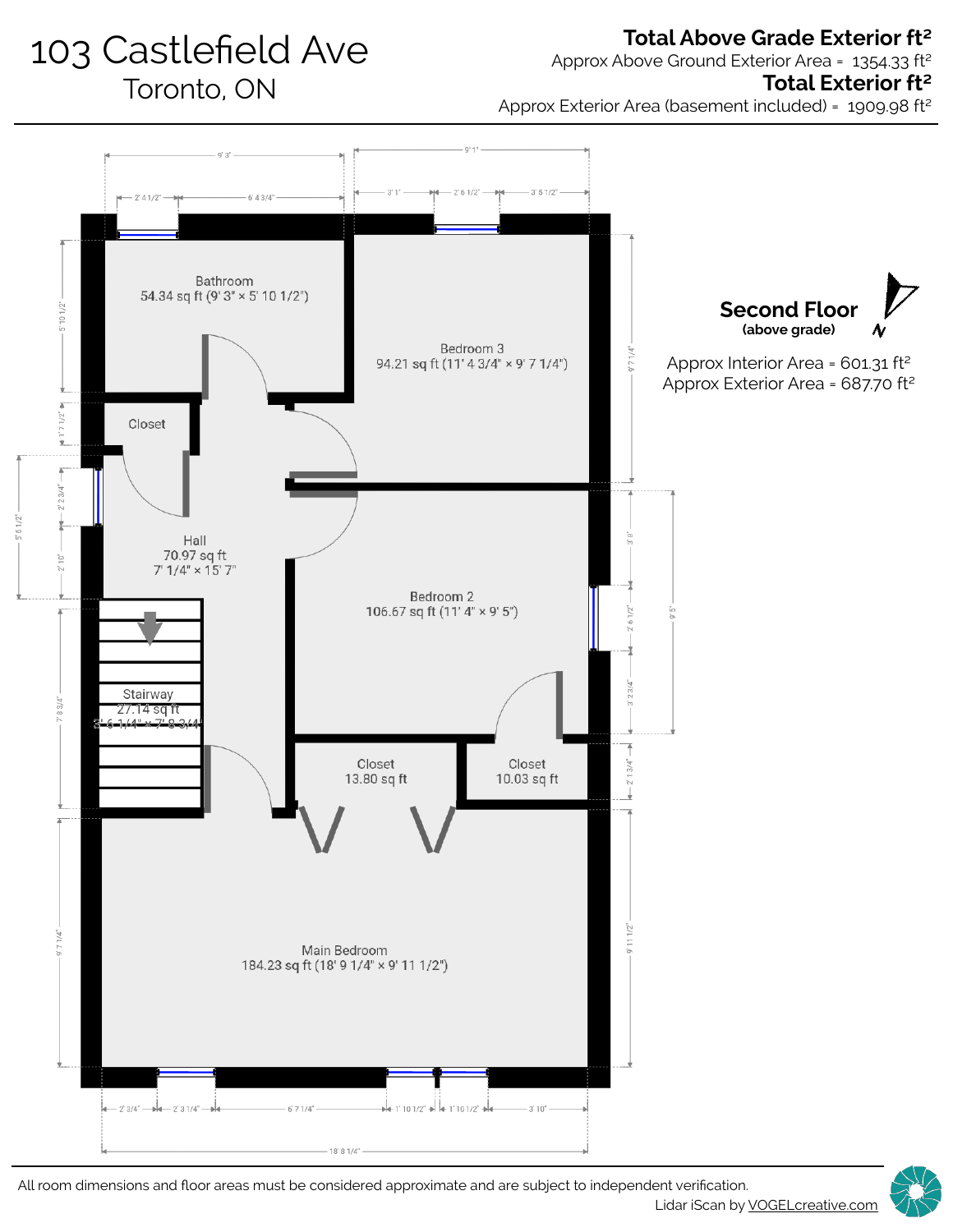# 103 Castlefield Ave Toronto, ON

## **Total Above Grade Exterior ft²**

Approx Above Ground Exterior Area = 1354.33 ft²

#### **Total Exterior ft²**

Approx Exterior Area (basement included) = 1909.98 ft²



All room dimensions and floor areas must be considered approximate and are subject to independent verification.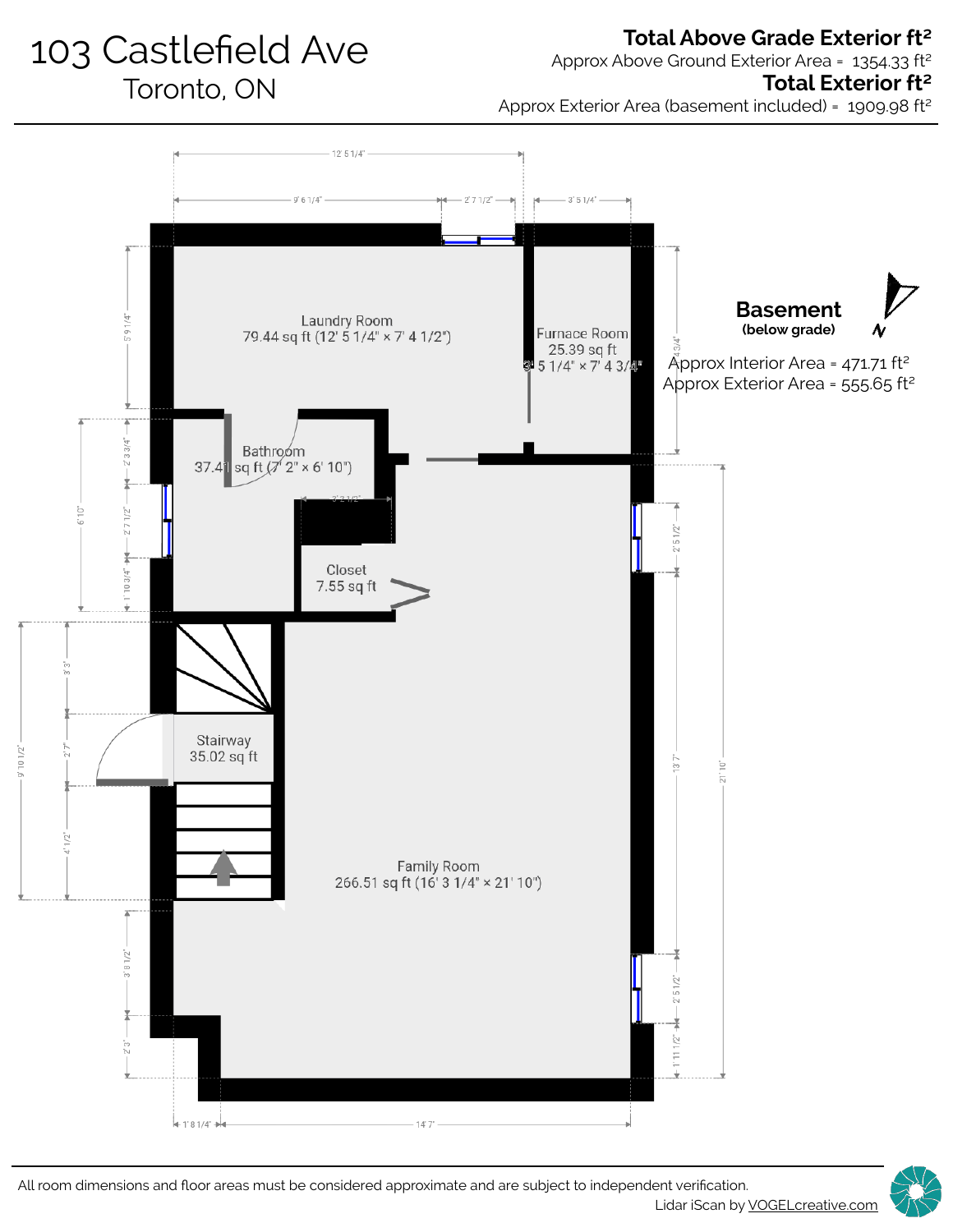# 103 Castlefield Ave

Toronto, ON

#### **Total Above Grade Exterior ft²**

Approx Above Ground Exterior Area = 1354.33 ft²

#### **Total Exterior ft²**

Approx Exterior Area (basement included) = 1909.98 ft²



All room dimensions and floor areas must be considered approximate and are subject to independent verification.